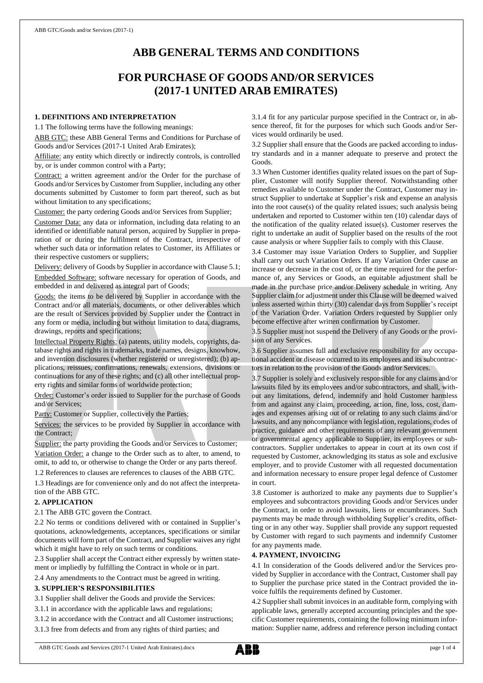# **ABB GENERAL TERMS AND CONDITIONS**

# **FOR PURCHASE OF GOODS AND/OR SERVICES (2017-1 UNITED ARAB EMIRATES)**

# **1. DEFINITIONS AND INTERPRETATION**

1.1 The following terms have the following meanings:

ABB GTC: these ABB General Terms and Conditions for Purchase of Goods and/or Services (2017-1 United Arab Emirates);

Affiliate: any entity which directly or indirectly controls, is controlled by, or is under common control with a Party;

Contract: a written agreement and/or the Order for the purchase of Goods and/or Services by Customer from Supplier, including any other documents submitted by Customer to form part thereof, such as but without limitation to any specifications;

Customer: the party ordering Goods and/or Services from Supplier;

Customer Data: any data or information, including data relating to an identified or identifiable natural person, acquired by Supplier in preparation of or during the fulfilment of the Contract, irrespective of whether such data or information relates to Customer, its Affiliates or their respective customers or suppliers;

Delivery: delivery of Goods by Supplier in accordance with Clause 5.1; Embedded Software: software necessary for operation of Goods, and embedded in and delivered as integral part of Goods;

Goods: the items to be delivered by Supplier in accordance with the Contract and/or all materials, documents, or other deliverables which are the result of Services provided by Supplier under the Contract in any form or media, including but without limitation to data, diagrams, drawings, reports and specifications;

Intellectual Property Rights: (a) patents, utility models, copyrights, database rights and rights in trademarks, trade names, designs, knowhow, and invention disclosures (whether registered or unregistered); (b) applications, reissues, confirmations, renewals, extensions, divisions or continuations for any of these rights; and (c) all other intellectual property rights and similar forms of worldwide protection;

Order: Customer's order issued to Supplier for the purchase of Goods and/or Services;

Party: Customer or Supplier, collectively the Parties;

Services: the services to be provided by Supplier in accordance with the Contract;

Supplier: the party providing the Goods and/or Services to Customer; Variation Order: a change to the Order such as to alter, to amend, to omit, to add to, or otherwise to change the Order or any parts thereof.

1.2 References to clauses are references to clauses of the ABB GTC.

1.3 Headings are for convenience only and do not affect the interpretation of the ABB GTC.

## **2. APPLICATION**

2.1 The ABB GTC govern the Contract.

2.2 No terms or conditions delivered with or contained in Supplier's quotations, acknowledgements, acceptances, specifications or similar documents will form part of the Contract, and Supplier waives any right which it might have to rely on such terms or conditions.

2.3 Supplier shall accept the Contract either expressly by written statement or impliedly by fulfilling the Contract in whole or in part.

2.4 Any amendments to the Contract must be agreed in writing.

#### **3. SUPPLIER'S RESPONSIBILITIES**

3.1 Supplier shall deliver the Goods and provide the Services:

3.1.1 in accordance with the applicable laws and regulations;

3.1.2 in accordance with the Contract and all Customer instructions;

3.1.3 free from defects and from any rights of third parties; and

3.1.4 fit for any particular purpose specified in the Contract or, in absence thereof, fit for the purposes for which such Goods and/or Services would ordinarily be used.

3.2 Supplier shall ensure that the Goods are packed according to industry standards and in a manner adequate to preserve and protect the Goods.

3.3 When Customer identifies quality related issues on the part of Supplier, Customer will notify Supplier thereof. Notwithstanding other remedies available to Customer under the Contract, Customer may instruct Supplier to undertake at Supplier's risk and expense an analysis into the root cause(s) of the quality related issues; such analysis being undertaken and reported to Customer within ten (10) calendar days of the notification of the quality related issue(s). Customer reserves the right to undertake an audit of Supplier based on the results of the root cause analysis or where Supplier fails to comply with this Clause.

3.4 Customer may issue Variation Orders to Supplier, and Supplier shall carry out such Variation Orders. If any Variation Order cause an increase or decrease in the cost of, or the time required for the performance of, any Services or Goods, an equitable adjustment shall be made in the purchase price and/or Delivery schedule in writing. Any Supplier claim for adjustment under this Clause will be deemed waived unless asserted within thirty (30) calendar days from Supplier's receipt of the Variation Order. Variation Orders requested by Supplier only become effective after written confirmation by Customer.

3.5 Supplier must not suspend the Delivery of any Goods or the provision of any Services.

3.6 Supplier assumes full and exclusive responsibility for any occupational accident or disease occurred to its employees and its subcontractors in relation to the provision of the Goods and/or Services.

3.7 Supplier is solely and exclusively responsible for any claims and/or lawsuits filed by its employees and/or subcontractors, and shall, without any limitations, defend, indemnify and hold Customer harmless from and against any claim, proceeding, action, fine, loss, cost, damages and expenses arising out of or relating to any such claims and/or lawsuits, and any noncompliance with legislation, regulations, codes of practice, guidance and other requirements of any relevant government or governmental agency applicable to Supplier, its employees or subcontractors. Supplier undertakes to appear in court at its own cost if requested by Customer, acknowledging its status as sole and exclusive employer, and to provide Customer with all requested documentation and information necessary to ensure proper legal defence of Customer in court.

3.8 Customer is authorized to make any payments due to Supplier's employees and subcontractors providing Goods and/or Services under the Contract, in order to avoid lawsuits, liens or encumbrances. Such payments may be made through withholding Supplier's credits, offsetting or in any other way. Supplier shall provide any support requested by Customer with regard to such payments and indemnify Customer for any payments made.

## **4. PAYMENT, INVOICING**

4.1 In consideration of the Goods delivered and/or the Services provided by Supplier in accordance with the Contract, Customer shall pay to Supplier the purchase price stated in the Contract provided the invoice fulfils the requirements defined by Customer.

4.2 Supplier shall submit invoices in an auditable form, complying with applicable laws, generally accepted accounting principles and the specific Customer requirements, containing the following minimum information: Supplier name, address and reference person including contact

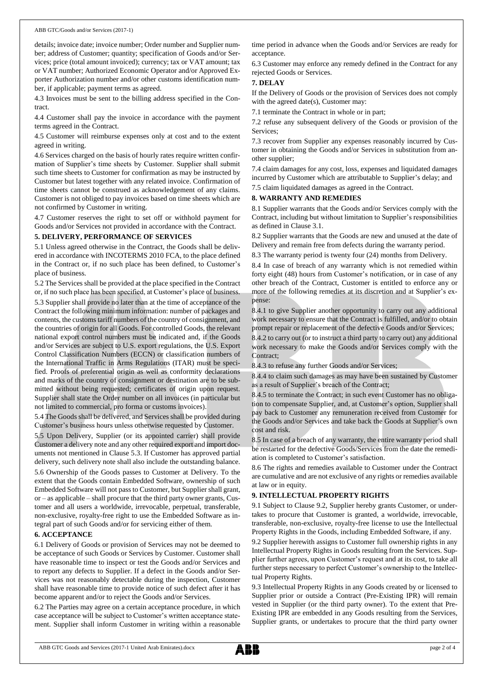details; invoice date; invoice number; Order number and Supplier number; address of Customer; quantity; specification of Goods and/or Services; price (total amount invoiced); currency; tax or VAT amount; tax or VAT number; Authorized Economic Operator and/or Approved Exporter Authorization number and/or other customs identification number, if applicable; payment terms as agreed.

4.3 Invoices must be sent to the billing address specified in the Contract.

4.4 Customer shall pay the invoice in accordance with the payment terms agreed in the Contract.

4.5 Customer will reimburse expenses only at cost and to the extent agreed in writing.

4.6 Services charged on the basis of hourly rates require written confirmation of Supplier's time sheets by Customer. Supplier shall submit such time sheets to Customer for confirmation as may be instructed by Customer but latest together with any related invoice. Confirmation of time sheets cannot be construed as acknowledgement of any claims. Customer is not obliged to pay invoices based on time sheets which are not confirmed by Customer in writing.

4.7 Customer reserves the right to set off or withhold payment for Goods and/or Services not provided in accordance with the Contract.

#### **5. DELIVERY, PERFORMANCE OF SERVICES**

5.1 Unless agreed otherwise in the Contract, the Goods shall be delivered in accordance with INCOTERMS 2010 FCA, to the place defined in the Contract or, if no such place has been defined, to Customer's place of business.

5.2 The Services shall be provided at the place specified in the Contract or, if no such place has been specified, at Customer's place of business. 5.3 Supplier shall provide no later than at the time of acceptance of the Contract the following minimum information: number of packages and contents, the customs tariff numbers of the country of consignment, and the countries of origin for all Goods. For controlled Goods, the relevant national export control numbers must be indicated and, if the Goods and/or Services are subject to U.S. export regulations, the U.S. Export Control Classification Numbers (ECCN) or classification numbers of the International Traffic in Arms Regulations (ITAR) must be specified. Proofs of preferential origin as well as conformity declarations and marks of the country of consignment or destination are to be submitted without being requested; certificates of origin upon request. Supplier shall state the Order number on all invoices (in particular but not limited to commercial, pro forma or customs invoices).

5.4 The Goods shall be delivered, and Services shall be provided during Customer's business hours unless otherwise requested by Customer.

5.5 Upon Delivery, Supplier (or its appointed carrier) shall provide Customer a delivery note and any other required export and import documents not mentioned in Clause 5.3. If Customer has approved partial delivery, such delivery note shall also include the outstanding balance.

5.6 Ownership of the Goods passes to Customer at Delivery. To the extent that the Goods contain Embedded Software, ownership of such Embedded Software will not passto Customer, but Supplier shall grant, or – as applicable – shall procure that the third party owner grants, Customer and all users a worldwide, irrevocable, perpetual, transferable, non-exclusive, royalty-free right to use the Embedded Software as integral part of such Goods and/or for servicing either of them.

#### **6. ACCEPTANCE**

6.1 Delivery of Goods or provision of Services may not be deemed to be acceptance of such Goods or Services by Customer. Customer shall have reasonable time to inspect or test the Goods and/or Services and to report any defects to Supplier. If a defect in the Goods and/or Services was not reasonably detectable during the inspection, Customer shall have reasonable time to provide notice of such defect after it has become apparent and/or to reject the Goods and/or Services.

6.2 The Parties may agree on a certain acceptance procedure, in which case acceptance will be subject to Customer's written acceptance statement. Supplier shall inform Customer in writing within a reasonable time period in advance when the Goods and/or Services are ready for acceptance.

6.3 Customer may enforce any remedy defined in the Contract for any rejected Goods or Services.

#### **7. DELAY**

If the Delivery of Goods or the provision of Services does not comply with the agreed date(s), Customer may:

7.1 terminate the Contract in whole or in part;

7.2 refuse any subsequent delivery of the Goods or provision of the Services;

7.3 recover from Supplier any expenses reasonably incurred by Customer in obtaining the Goods and/or Services in substitution from another supplier;

7.4 claim damages for any cost, loss, expenses and liquidated damages incurred by Customer which are attributable to Supplier's delay; and 7.5 claim liquidated damages as agreed in the Contract.

#### **8. WARRANTY AND REMEDIES**

8.1 Supplier warrants that the Goods and/or Services comply with the Contract, including but without limitation to Supplier's responsibilities as defined in Clause 3.1.

8.2 Supplier warrants that the Goods are new and unused at the date of Delivery and remain free from defects during the warranty period.

8.3 The warranty period is twenty four (24) months from Delivery.

8.4 In case of breach of any warranty which is not remedied within forty eight (48) hours from Customer's notification, or in case of any other breach of the Contract, Customer is entitled to enforce any or more of the following remedies at its discretion and at Supplier's expense:

8.4.1 to give Supplier another opportunity to carry out any additional work necessary to ensure that the Contract is fulfilled, and/or to obtain prompt repair or replacement of the defective Goods and/or Services;

8.4.2 to carry out (or to instruct a third party to carry out) any additional work necessary to make the Goods and/or Services comply with the Contract;

8.4.3 to refuse any further Goods and/or Services;

8.4.4 to claim such damages as may have been sustained by Customer as a result of Supplier's breach of the Contract;

8.4.5 to terminate the Contract; in such event Customer has no obligation to compensate Supplier, and, at Customer's option, Supplier shall pay back to Customer any remuneration received from Customer for the Goods and/or Services and take back the Goods at Supplier's own cost and risk.

8.5 In case of a breach of any warranty, the entire warranty period shall be restarted for the defective Goods/Services from the date the remediation is completed to Customer's satisfaction.

8.6 The rights and remedies available to Customer under the Contract are cumulative and are not exclusive of any rights or remedies available at law or in equity.

#### **9. INTELLECTUAL PROPERTY RIGHTS**

9.1 Subject to Clause 9.2, Supplier hereby grants Customer, or undertakes to procure that Customer is granted, a worldwide, irrevocable, transferable, non-exclusive, royalty-free license to use the Intellectual Property Rights in the Goods, including Embedded Software, if any.

9.2 Supplier herewith assigns to Customer full ownership rights in any Intellectual Property Rights in Goods resulting from the Services. Supplier further agrees, upon Customer's request and at its cost, to take all further steps necessary to perfect Customer's ownership to the Intellectual Property Rights.

9.3 Intellectual Property Rights in any Goods created by or licensed to Supplier prior or outside a Contract (Pre-Existing IPR) will remain vested in Supplier (or the third party owner). To the extent that Pre-Existing IPR are embedded in any Goods resulting from the Services, Supplier grants, or undertakes to procure that the third party owner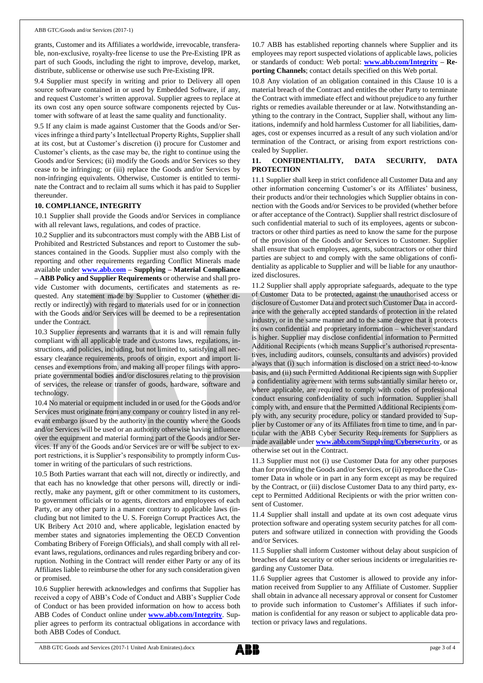grants, Customer and its Affiliates a worldwide, irrevocable, transferable, non-exclusive, royalty-free license to use the Pre-Existing IPR as part of such Goods, including the right to improve, develop, market, distribute, sublicense or otherwise use such Pre-Existing IPR.

9.4 Supplier must specify in writing and prior to Delivery all open source software contained in or used by Embedded Software, if any, and request Customer's written approval. Supplier agrees to replace at its own cost any open source software components rejected by Customer with software of at least the same quality and functionality.

9.5 If any claim is made against Customer that the Goods and/or Services infringe a third party's Intellectual Property Rights, Supplier shall at its cost, but at Customer's discretion (i) procure for Customer and Customer's clients, as the case may be, the right to continue using the Goods and/or Services; (ii) modify the Goods and/or Services so they cease to be infringing; or (iii) replace the Goods and/or Services by non-infringing equivalents. Otherwise, Customer is entitled to terminate the Contract and to reclaim all sums which it has paid to Supplier thereunder.

#### **10. COMPLIANCE, INTEGRITY**

10.1 Supplier shall provide the Goods and/or Services in compliance with all relevant laws, regulations, and codes of practice.

10.2 Supplier and its subcontractors must comply with the ABB List of Prohibited and Restricted Substances and report to Customer the substances contained in the Goods. Supplier must also comply with the reporting and other requirements regarding Conflict Minerals made available under **[www.abb.com](http://www.abb.com/) – Supplying – Material Compliance – ABB Policy and Supplier Requirements** or otherwise and shall provide Customer with documents, certificates and statements as requested. Any statement made by Supplier to Customer (whether directly or indirectly) with regard to materials used for or in connection with the Goods and/or Services will be deemed to be a representation under the Contract.

10.3 Supplier represents and warrants that it is and will remain fully compliant with all applicable trade and customs laws, regulations, instructions, and policies, including, but not limited to, satisfying all necessary clearance requirements, proofs of origin, export and import licenses and exemptions from, and making all proper filings with appropriate governmental bodies and/or disclosures relating to the provision of services, the release or transfer of goods, hardware, software and technology.

10.4 No material or equipment included in or used for the Goods and/or Services must originate from any company or country listed in any relevant embargo issued by the authority in the country where the Goods and/or Services will be used or an authority otherwise having influence over the equipment and material forming part of the Goods and/or Services. If any of the Goods and/or Services are or will be subject to export restrictions, it is Supplier's responsibility to promptly inform Customer in writing of the particulars of such restrictions.

10.5 Both Parties warrant that each will not, directly or indirectly, and that each has no knowledge that other persons will, directly or indirectly, make any payment, gift or other commitment to its customers, to government officials or to agents, directors and employees of each Party, or any other party in a manner contrary to applicable laws (including but not limited to the U. S. Foreign Corrupt Practices Act, the UK Bribery Act 2010 and, where applicable, legislation enacted by member states and signatories implementing the OECD Convention Combating Bribery of Foreign Officials), and shall comply with all relevant laws, regulations, ordinances and rules regarding bribery and corruption. Nothing in the Contract will render either Party or any of its Affiliates liable to reimburse the other for any such consideration given or promised.

10.6 Supplier herewith acknowledges and confirms that Supplier has received a copy of ABB's Code of Conduct and ABB's Supplier Code of Conduct or has been provided information on how to access both ABB Codes of Conduct online under **[www.abb.com/Integrity](http://www.abb.com/Integrity)**. Supplier agrees to perform its contractual obligations in accordance with both ABB Codes of Conduct.

10.7 ABB has established reporting channels where Supplier and its employees may report suspected violations of applicable laws, policies or standards of conduct: Web portal: **[www.abb.com/Integrity](http://www.abb.com/Integrity) – Reporting Channels**; contact details specified on this Web portal.

10.8 Any violation of an obligation contained in this Clause 10 is a material breach of the Contract and entitles the other Party to terminate the Contract with immediate effect and without prejudice to any further rights or remedies available thereunder or at law. Notwithstanding anything to the contrary in the Contract, Supplier shall, without any limitations, indemnify and hold harmless Customer for all liabilities, damages, cost or expenses incurred as a result of any such violation and/or termination of the Contract, or arising from export restrictions concealed by Supplier.

#### **11. CONFIDENTIALITY, DATA SECURITY, DATA PROTECTION**

11.1 Supplier shall keep in strict confidence all Customer Data and any other information concerning Customer's or its Affiliates' business, their products and/or their technologies which Supplier obtains in connection with the Goods and/or Services to be provided (whether before or after acceptance of the Contract). Supplier shall restrict disclosure of such confidential material to such of its employees, agents or subcontractors or other third parties as need to know the same for the purpose of the provision of the Goods and/or Services to Customer. Supplier shall ensure that such employees, agents, subcontractors or other third parties are subject to and comply with the same obligations of confidentiality as applicable to Supplier and will be liable for any unauthorized disclosures.

11.2 Supplier shall apply appropriate safeguards, adequate to the type of Customer Data to be protected, against the unauthorised access or disclosure of Customer Data and protect such Customer Data in accordance with the generally accepted standards of protection in the related industry, or in the same manner and to the same degree that it protects its own confidential and proprietary information – whichever standard is higher. Supplier may disclose confidential information to Permitted Additional Recipients (which means Supplier's authorised representatives, including auditors, counsels, consultants and advisors) provided always that (i) such information is disclosed on a strict need-to-know basis, and (ii) such Permitted Additional Recipients sign with Supplier a confidentiality agreement with terms substantially similar hereto or, where applicable, are required to comply with codes of professional conduct ensuring confidentiality of such information. Supplier shall comply with, and ensure that the Permitted Additional Recipients comply with, any security procedure, policy or standard provided to Supplier by Customer or any of its Affiliates from time to time, and in particular with the ABB Cyber Security Requirements for Suppliers as made available under **[www.abb.com/Supplying/Cybersecurity](http://www.abb.com/Supplying/Cybersecurity)**, or as otherwise set out in the Contract.

11.3 Supplier must not (i) use Customer Data for any other purposes than for providing the Goods and/or Services, or (ii) reproduce the Customer Data in whole or in part in any form except as may be required by the Contract, or (iii) disclose Customer Data to any third party, except to Permitted Additional Recipients or with the prior written consent of Customer.

11.4 Supplier shall install and update at its own cost adequate virus protection software and operating system security patches for all computers and software utilized in connection with providing the Goods and/or Services.

11.5 Supplier shall inform Customer without delay about suspicion of breaches of data security or other serious incidents or irregularities regarding any Customer Data.

11.6 Supplier agrees that Customer is allowed to provide any information received from Supplier to any Affiliate of Customer. Supplier shall obtain in advance all necessary approval or consent for Customer to provide such information to Customer's Affiliates if such information is confidential for any reason or subject to applicable data protection or privacy laws and regulations.